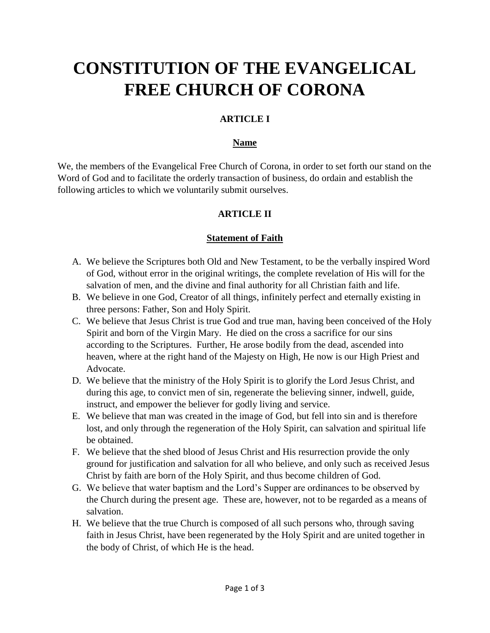# **CONSTITUTION OF THE EVANGELICAL FREE CHURCH OF CORONA**

# **ARTICLE I**

#### **Name**

We, the members of the Evangelical Free Church of Corona, in order to set forth our stand on the Word of God and to facilitate the orderly transaction of business, do ordain and establish the following articles to which we voluntarily submit ourselves.

# **ARTICLE II**

#### **Statement of Faith**

- A. We believe the Scriptures both Old and New Testament, to be the verbally inspired Word of God, without error in the original writings, the complete revelation of His will for the salvation of men, and the divine and final authority for all Christian faith and life.
- B. We believe in one God, Creator of all things, infinitely perfect and eternally existing in three persons: Father, Son and Holy Spirit.
- C. We believe that Jesus Christ is true God and true man, having been conceived of the Holy Spirit and born of the Virgin Mary. He died on the cross a sacrifice for our sins according to the Scriptures. Further, He arose bodily from the dead, ascended into heaven, where at the right hand of the Majesty on High, He now is our High Priest and Advocate.
- D. We believe that the ministry of the Holy Spirit is to glorify the Lord Jesus Christ, and during this age, to convict men of sin, regenerate the believing sinner, indwell, guide, instruct, and empower the believer for godly living and service.
- E. We believe that man was created in the image of God, but fell into sin and is therefore lost, and only through the regeneration of the Holy Spirit, can salvation and spiritual life be obtained.
- F. We believe that the shed blood of Jesus Christ and His resurrection provide the only ground for justification and salvation for all who believe, and only such as received Jesus Christ by faith are born of the Holy Spirit, and thus become children of God.
- G. We believe that water baptism and the Lord's Supper are ordinances to be observed by the Church during the present age. These are, however, not to be regarded as a means of salvation.
- H. We believe that the true Church is composed of all such persons who, through saving faith in Jesus Christ, have been regenerated by the Holy Spirit and are united together in the body of Christ, of which He is the head.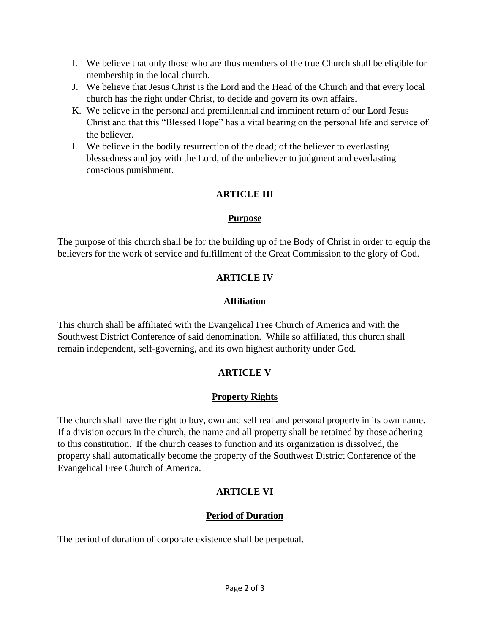- I. We believe that only those who are thus members of the true Church shall be eligible for membership in the local church.
- J. We believe that Jesus Christ is the Lord and the Head of the Church and that every local church has the right under Christ, to decide and govern its own affairs.
- K. We believe in the personal and premillennial and imminent return of our Lord Jesus Christ and that this "Blessed Hope" has a vital bearing on the personal life and service of the believer.
- L. We believe in the bodily resurrection of the dead; of the believer to everlasting blessedness and joy with the Lord, of the unbeliever to judgment and everlasting conscious punishment.

# **ARTICLE III**

#### **Purpose**

The purpose of this church shall be for the building up of the Body of Christ in order to equip the believers for the work of service and fulfillment of the Great Commission to the glory of God.

# **ARTICLE IV**

# **Affiliation**

This church shall be affiliated with the Evangelical Free Church of America and with the Southwest District Conference of said denomination. While so affiliated, this church shall remain independent, self-governing, and its own highest authority under God.

# **ARTICLE V**

# **Property Rights**

The church shall have the right to buy, own and sell real and personal property in its own name. If a division occurs in the church, the name and all property shall be retained by those adhering to this constitution. If the church ceases to function and its organization is dissolved, the property shall automatically become the property of the Southwest District Conference of the Evangelical Free Church of America.

# **ARTICLE VI**

# **Period of Duration**

The period of duration of corporate existence shall be perpetual.